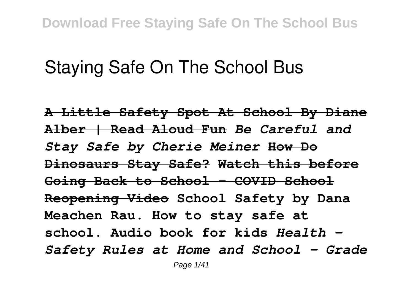# **Staying Safe On The School Bus**

**A Little Safety Spot At School By Diane Alber | Read Aloud Fun** *Be Careful and Stay Safe by Cherie Meiner* **How Do Dinosaurs Stay Safe? Watch this before Going Back to School - COVID School Reopening Video School Safety by Dana Meachen Rau. How to stay safe at school. Audio book for kids** *Health - Safety Rules at Home and School - Grade*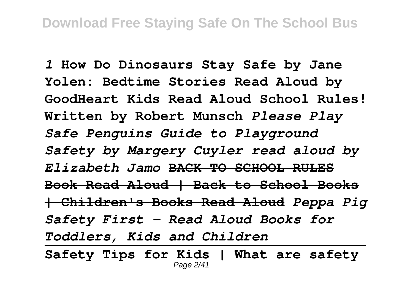*1* **How Do Dinosaurs Stay Safe by Jane Yolen: Bedtime Stories Read Aloud by GoodHeart Kids Read Aloud School Rules! Written by Robert Munsch** *Please Play Safe Penguins Guide to Playground Safety by Margery Cuyler read aloud by Elizabeth Jamo* **BACK TO SCHOOL RULES Book Read Aloud | Back to School Books | Children's Books Read Aloud** *Peppa Pig Safety First - Read Aloud Books for Toddlers, Kids and Children*

**Safety Tips for Kids | What are safety** Page 2/41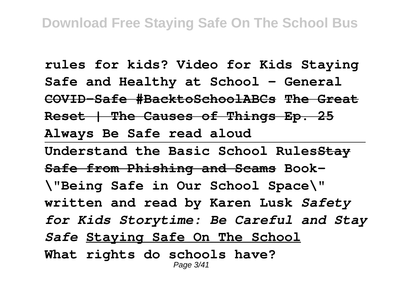**rules for kids? Video for Kids Staying Safe and Healthy at School - General COVID-Safe #BacktoSchoolABCs The Great Reset | The Causes of Things Ep. 25 Always Be Safe read aloud Understand the Basic School RulesStay Safe from Phishing and Scams Book- \"Being Safe in Our School Space\" written and read by Karen Lusk** *Safety for Kids Storytime: Be Careful and Stay Safe* **Staying Safe On The School What rights do schools have?** Page 3/41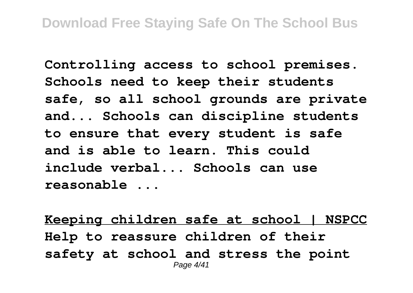**Controlling access to school premises. Schools need to keep their students safe, so all school grounds are private and... Schools can discipline students to ensure that every student is safe and is able to learn. This could include verbal... Schools can use reasonable ...**

**Keeping children safe at school | NSPCC Help to reassure children of their safety at school and stress the point** Page 4/41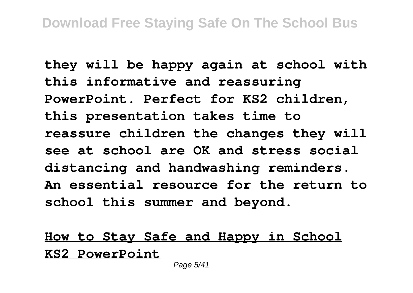**they will be happy again at school with this informative and reassuring PowerPoint. Perfect for KS2 children, this presentation takes time to reassure children the changes they will see at school are OK and stress social distancing and handwashing reminders. An essential resource for the return to school this summer and beyond.**

### **How to Stay Safe and Happy in School KS2 PowerPoint**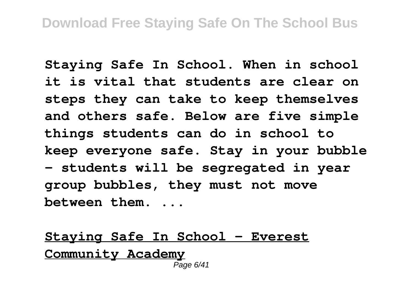**Staying Safe In School. When in school it is vital that students are clear on steps they can take to keep themselves and others safe. Below are five simple things students can do in school to keep everyone safe. Stay in your bubble - students will be segregated in year group bubbles, they must not move between them. ...**

**Staying Safe In School - Everest Community Academy** Page 6/41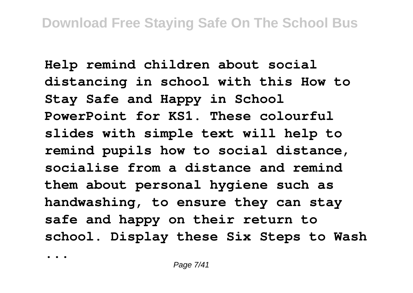**Help remind children about social distancing in school with this How to Stay Safe and Happy in School PowerPoint for KS1. These colourful slides with simple text will help to remind pupils how to social distance, socialise from a distance and remind them about personal hygiene such as handwashing, to ensure they can stay safe and happy on their return to school. Display these Six Steps to Wash**

**...**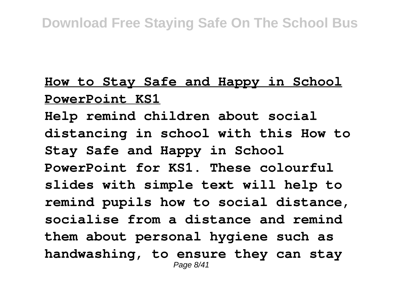### **How to Stay Safe and Happy in School PowerPoint KS1**

**Help remind children about social distancing in school with this How to Stay Safe and Happy in School PowerPoint for KS1. These colourful slides with simple text will help to remind pupils how to social distance, socialise from a distance and remind them about personal hygiene such as handwashing, to ensure they can stay** Page 8/41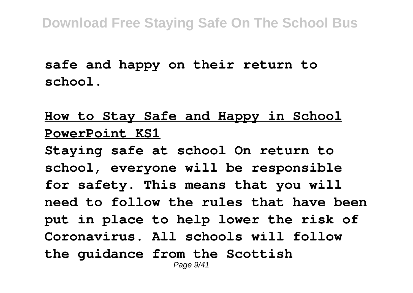**safe and happy on their return to school.**

### **How to Stay Safe and Happy in School PowerPoint KS1**

**Staying safe at school On return to school, everyone will be responsible for safety. This means that you will need to follow the rules that have been put in place to help lower the risk of Coronavirus. All schools will follow the guidance from the Scottish** Page  $9/41$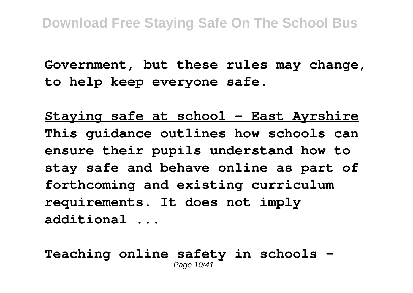**Government, but these rules may change, to help keep everyone safe.**

**Staying safe at school - East Ayrshire This guidance outlines how schools can ensure their pupils understand how to stay safe and behave online as part of forthcoming and existing curriculum requirements. It does not imply additional ...**

**Teaching online safety in schools -** Page 10/41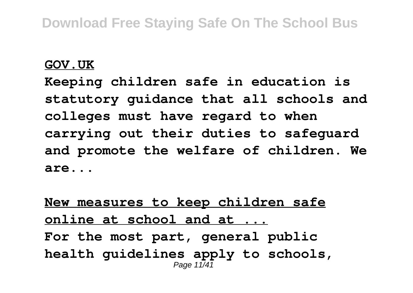#### **GOV.UK**

**Keeping children safe in education is statutory guidance that all schools and colleges must have regard to when carrying out their duties to safeguard and promote the welfare of children. We are...**

**New measures to keep children safe online at school and at ... For the most part, general public health guidelines apply to schools,** Page 11/4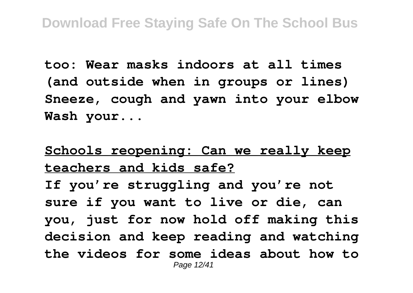**too: Wear masks indoors at all times (and outside when in groups or lines) Sneeze, cough and yawn into your elbow Wash your...**

**Schools reopening: Can we really keep teachers and kids safe? If you're struggling and you're not sure if you want to live or die, can you, just for now hold off making this decision and keep reading and watching the videos for some ideas about how to** Page 12/41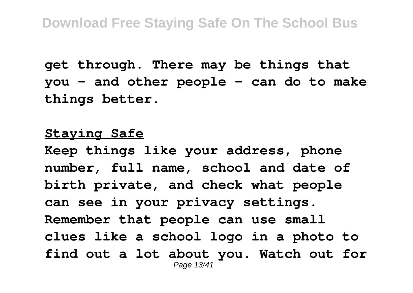**get through. There may be things that you - and other people - can do to make things better.**

#### **Staying Safe**

**Keep things like your address, phone number, full name, school and date of birth private, and check what people can see in your privacy settings. Remember that people can use small clues like a school logo in a photo to find out a lot about you. Watch out for** Page 13/41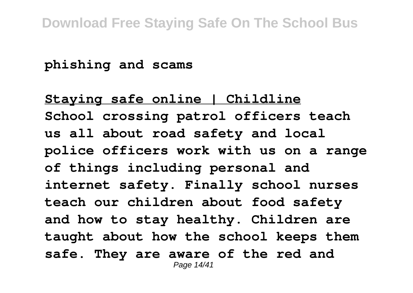**phishing and scams**

**Staying safe online | Childline School crossing patrol officers teach us all about road safety and local police officers work with us on a range of things including personal and internet safety. Finally school nurses teach our children about food safety and how to stay healthy. Children are taught about how the school keeps them safe. They are aware of the red and** Page 14/41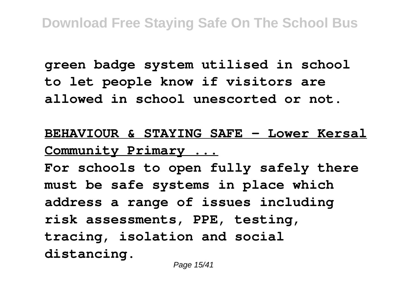**green badge system utilised in school to let people know if visitors are allowed in school unescorted or not.**

**BEHAVIOUR & STAYING SAFE - Lower Kersal Community Primary ...**

**For schools to open fully safely there must be safe systems in place which address a range of issues including risk assessments, PPE, testing, tracing, isolation and social distancing.**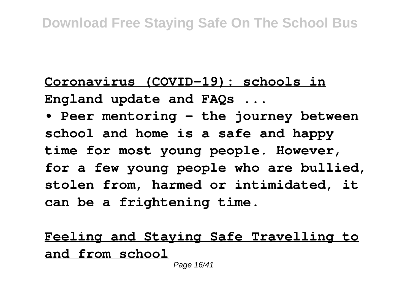# **Coronavirus (COVID-19): schools in England update and FAQs ...**

**• Peer mentoring - the journey between school and home is a safe and happy time for most young people. However, for a few young people who are bullied, stolen from, harmed or intimidated, it can be a frightening time.**

**Feeling and Staying Safe Travelling to and from school**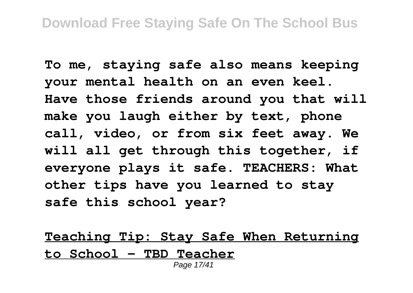**To me, staying safe also means keeping your mental health on an even keel. Have those friends around you that will make you laugh either by text, phone call, video, or from six feet away. We will all get through this together, if everyone plays it safe. TEACHERS: What other tips have you learned to stay safe this school year?**

**Teaching Tip: Stay Safe When Returning to School - TBD Teacher** Page 17/41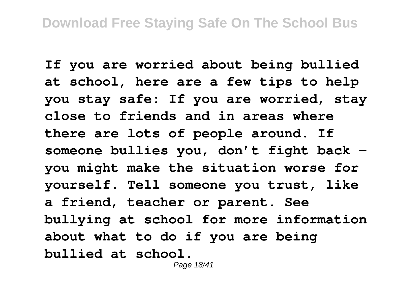**If you are worried about being bullied at school, here are a few tips to help you stay safe: If you are worried, stay close to friends and in areas where there are lots of people around. If someone bullies you, don't fight back you might make the situation worse for yourself. Tell someone you trust, like a friend, teacher or parent. See bullying at school for more information about what to do if you are being bullied at school.**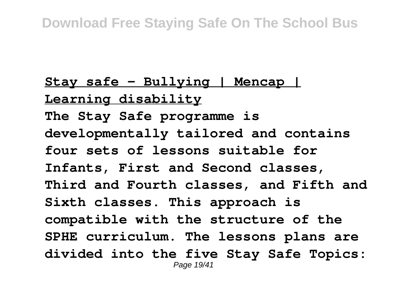# **Stay safe - Bullying | Mencap | Learning disability The Stay Safe programme is developmentally tailored and contains four sets of lessons suitable for Infants, First and Second classes, Third and Fourth classes, and Fifth and Sixth classes. This approach is compatible with the structure of the SPHE curriculum. The lessons plans are divided into the five Stay Safe Topics:** Page 19/41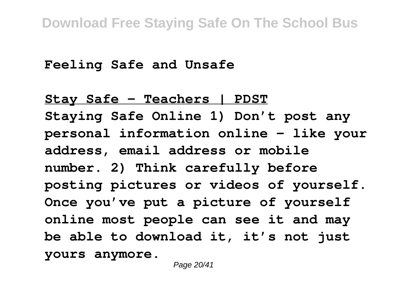**Feeling Safe and Unsafe**

**Stay Safe - Teachers | PDST Staying Safe Online 1) Don't post any personal information online – like your address, email address or mobile number. 2) Think carefully before posting pictures or videos of yourself. Once you've put a picture of yourself online most people can see it and may be able to download it, it's not just yours anymore.**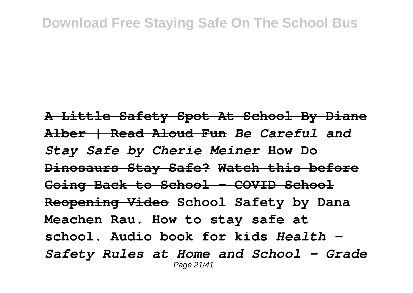#### **Download Free Staying Safe On The School Bus**

**A Little Safety Spot At School By Diane Alber | Read Aloud Fun** *Be Careful and Stay Safe by Cherie Meiner* **How Do Dinosaurs Stay Safe? Watch this before Going Back to School - COVID School Reopening Video School Safety by Dana Meachen Rau. How to stay safe at school. Audio book for kids** *Health - Safety Rules at Home and School - Grade* Page 21/41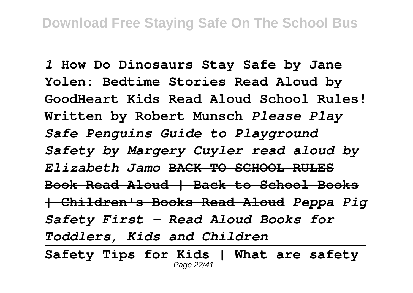*1* **How Do Dinosaurs Stay Safe by Jane Yolen: Bedtime Stories Read Aloud by GoodHeart Kids Read Aloud School Rules! Written by Robert Munsch** *Please Play Safe Penguins Guide to Playground Safety by Margery Cuyler read aloud by Elizabeth Jamo* **BACK TO SCHOOL RULES Book Read Aloud | Back to School Books | Children's Books Read Aloud** *Peppa Pig Safety First - Read Aloud Books for Toddlers, Kids and Children*

**Safety Tips for Kids | What are safety** Page 22/41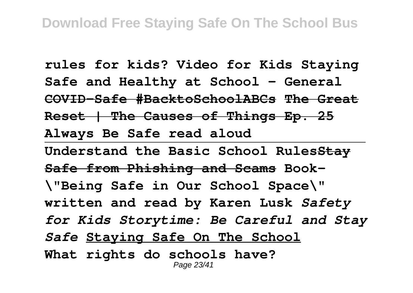**rules for kids? Video for Kids Staying Safe and Healthy at School - General COVID-Safe #BacktoSchoolABCs The Great Reset | The Causes of Things Ep. 25 Always Be Safe read aloud Understand the Basic School RulesStay Safe from Phishing and Scams Book- \"Being Safe in Our School Space\" written and read by Karen Lusk** *Safety for Kids Storytime: Be Careful and Stay Safe* **Staying Safe On The School What rights do schools have?** Page 23/41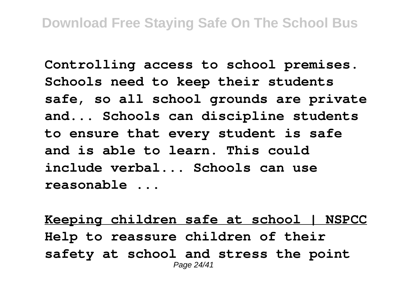**Controlling access to school premises. Schools need to keep their students safe, so all school grounds are private and... Schools can discipline students to ensure that every student is safe and is able to learn. This could include verbal... Schools can use reasonable ...**

**Keeping children safe at school | NSPCC Help to reassure children of their safety at school and stress the point** Page 24/41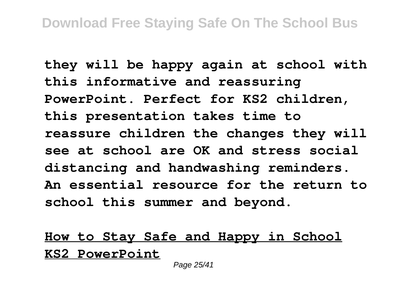**they will be happy again at school with this informative and reassuring PowerPoint. Perfect for KS2 children, this presentation takes time to reassure children the changes they will see at school are OK and stress social distancing and handwashing reminders. An essential resource for the return to school this summer and beyond.**

### **How to Stay Safe and Happy in School KS2 PowerPoint**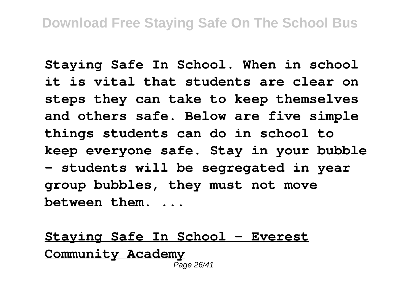**Staying Safe In School. When in school it is vital that students are clear on steps they can take to keep themselves and others safe. Below are five simple things students can do in school to keep everyone safe. Stay in your bubble - students will be segregated in year group bubbles, they must not move between them. ...**

**Staying Safe In School - Everest Community Academy** Page 26/41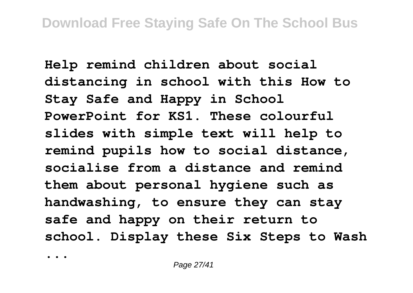**Help remind children about social distancing in school with this How to Stay Safe and Happy in School PowerPoint for KS1. These colourful slides with simple text will help to remind pupils how to social distance, socialise from a distance and remind them about personal hygiene such as handwashing, to ensure they can stay safe and happy on their return to school. Display these Six Steps to Wash**

**...**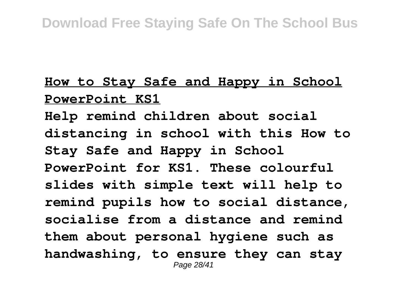### **How to Stay Safe and Happy in School PowerPoint KS1**

**Help remind children about social distancing in school with this How to Stay Safe and Happy in School PowerPoint for KS1. These colourful slides with simple text will help to remind pupils how to social distance, socialise from a distance and remind them about personal hygiene such as handwashing, to ensure they can stay** Page 28/41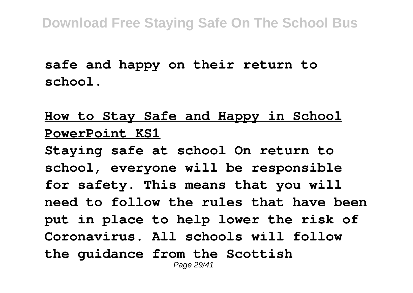**safe and happy on their return to school.**

### **How to Stay Safe and Happy in School PowerPoint KS1**

**Staying safe at school On return to school, everyone will be responsible for safety. This means that you will need to follow the rules that have been put in place to help lower the risk of Coronavirus. All schools will follow the guidance from the Scottish** Page 29/41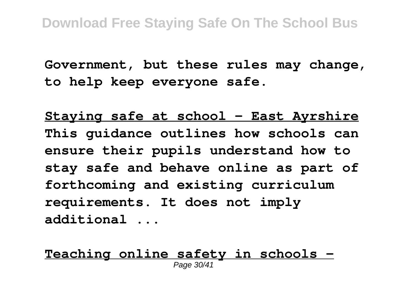**Government, but these rules may change, to help keep everyone safe.**

**Staying safe at school - East Ayrshire This guidance outlines how schools can ensure their pupils understand how to stay safe and behave online as part of forthcoming and existing curriculum requirements. It does not imply additional ...**

**Teaching online safety in schools -** Page 30/41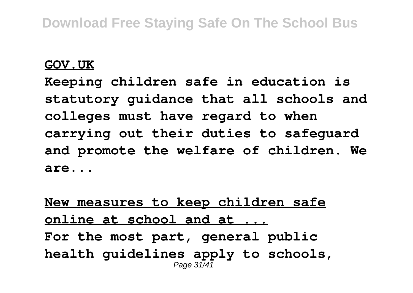#### **GOV.UK**

**Keeping children safe in education is statutory guidance that all schools and colleges must have regard to when carrying out their duties to safeguard and promote the welfare of children. We are...**

**New measures to keep children safe online at school and at ... For the most part, general public health guidelines apply to schools,** Page  $31/4$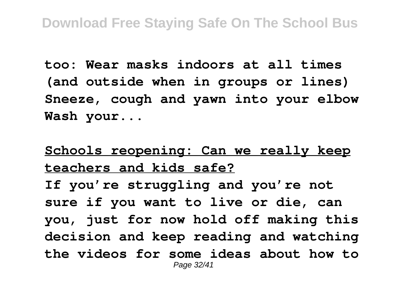**too: Wear masks indoors at all times (and outside when in groups or lines) Sneeze, cough and yawn into your elbow Wash your...**

**Schools reopening: Can we really keep teachers and kids safe? If you're struggling and you're not sure if you want to live or die, can you, just for now hold off making this decision and keep reading and watching the videos for some ideas about how to** Page 32/41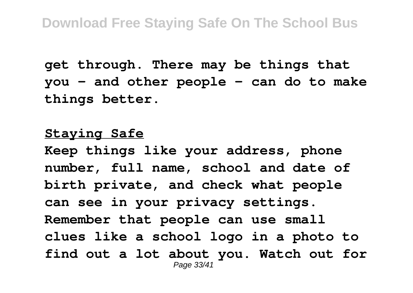**get through. There may be things that you - and other people - can do to make things better.**

#### **Staying Safe**

**Keep things like your address, phone number, full name, school and date of birth private, and check what people can see in your privacy settings. Remember that people can use small clues like a school logo in a photo to find out a lot about you. Watch out for** Page 33/41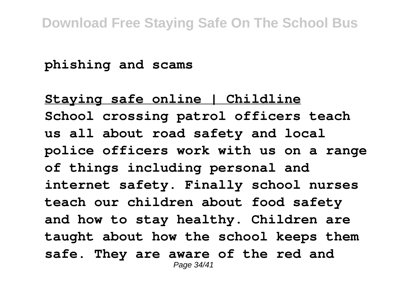**phishing and scams**

**Staying safe online | Childline School crossing patrol officers teach us all about road safety and local police officers work with us on a range of things including personal and internet safety. Finally school nurses teach our children about food safety and how to stay healthy. Children are taught about how the school keeps them safe. They are aware of the red and** Page 34/41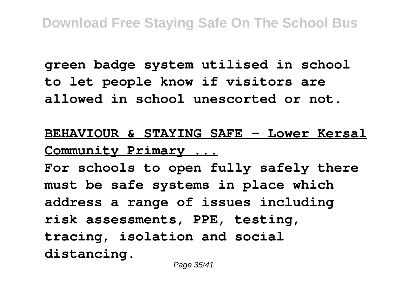**green badge system utilised in school to let people know if visitors are allowed in school unescorted or not.**

**BEHAVIOUR & STAYING SAFE - Lower Kersal Community Primary ...**

**For schools to open fully safely there must be safe systems in place which address a range of issues including risk assessments, PPE, testing, tracing, isolation and social distancing.**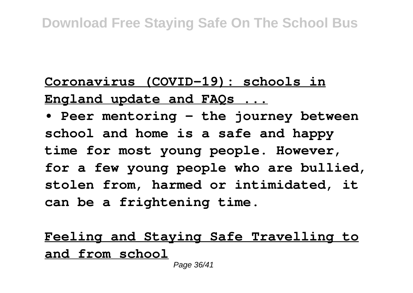# **Coronavirus (COVID-19): schools in England update and FAQs ...**

**• Peer mentoring - the journey between school and home is a safe and happy time for most young people. However, for a few young people who are bullied, stolen from, harmed or intimidated, it can be a frightening time.**

**Feeling and Staying Safe Travelling to and from school**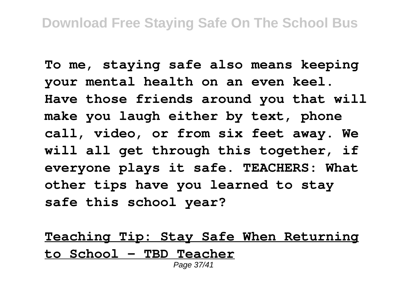**To me, staying safe also means keeping your mental health on an even keel. Have those friends around you that will make you laugh either by text, phone call, video, or from six feet away. We will all get through this together, if everyone plays it safe. TEACHERS: What other tips have you learned to stay safe this school year?**

**Teaching Tip: Stay Safe When Returning to School - TBD Teacher** Page 37/41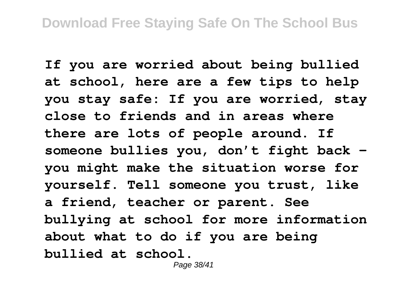**If you are worried about being bullied at school, here are a few tips to help you stay safe: If you are worried, stay close to friends and in areas where there are lots of people around. If someone bullies you, don't fight back you might make the situation worse for yourself. Tell someone you trust, like a friend, teacher or parent. See bullying at school for more information about what to do if you are being bullied at school.**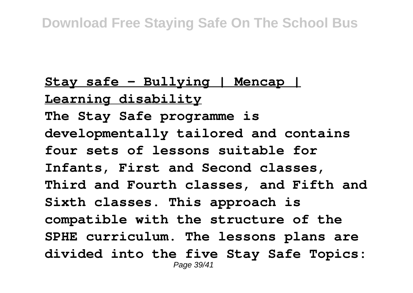# **Stay safe - Bullying | Mencap | Learning disability The Stay Safe programme is developmentally tailored and contains four sets of lessons suitable for Infants, First and Second classes, Third and Fourth classes, and Fifth and Sixth classes. This approach is compatible with the structure of the SPHE curriculum. The lessons plans are divided into the five Stay Safe Topics:** Page 39/41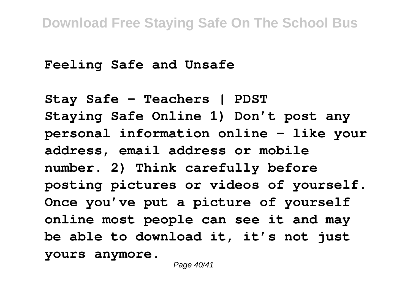**Feeling Safe and Unsafe**

**Stay Safe - Teachers | PDST Staying Safe Online 1) Don't post any personal information online – like your address, email address or mobile number. 2) Think carefully before posting pictures or videos of yourself. Once you've put a picture of yourself online most people can see it and may be able to download it, it's not just yours anymore.**